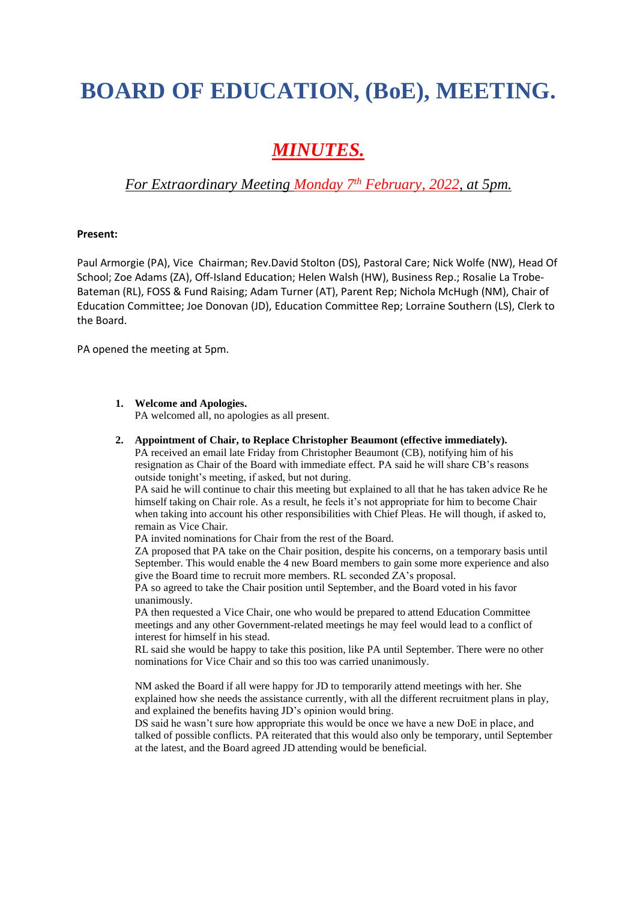# **BOARD OF EDUCATION, (BoE), MEETING.**

## *MINUTES.*

### *For Extraordinary Meeting Monday 7th February, 2022, at 5pm.*

#### **Present:**

Paul Armorgie (PA), Vice Chairman; Rev.David Stolton (DS), Pastoral Care; Nick Wolfe (NW), Head Of School; Zoe Adams (ZA), Off-Island Education; Helen Walsh (HW), Business Rep.; Rosalie La Trobe-Bateman (RL), FOSS & Fund Raising; Adam Turner (AT), Parent Rep; Nichola McHugh (NM), Chair of Education Committee; Joe Donovan (JD), Education Committee Rep; Lorraine Southern (LS), Clerk to the Board.

PA opened the meeting at 5pm.

#### **1. Welcome and Apologies.**

PA welcomed all, no apologies as all present.

#### **2. Appointment of Chair, to Replace Christopher Beaumont (effective immediately).**

PA received an email late Friday from Christopher Beaumont (CB), notifying him of his resignation as Chair of the Board with immediate effect. PA said he will share CB's reasons outside tonight's meeting, if asked, but not during.

PA said he will continue to chair this meeting but explained to all that he has taken advice Re he himself taking on Chair role. As a result, he feels it's not appropriate for him to become Chair when taking into account his other responsibilities with Chief Pleas. He will though, if asked to, remain as Vice Chair.

PA invited nominations for Chair from the rest of the Board.

ZA proposed that PA take on the Chair position, despite his concerns, on a temporary basis until September. This would enable the 4 new Board members to gain some more experience and also give the Board time to recruit more members. RL seconded ZA's proposal.

PA so agreed to take the Chair position until September, and the Board voted in his favor unanimously.

PA then requested a Vice Chair, one who would be prepared to attend Education Committee meetings and any other Government-related meetings he may feel would lead to a conflict of interest for himself in his stead.

RL said she would be happy to take this position, like PA until September. There were no other nominations for Vice Chair and so this too was carried unanimously.

NM asked the Board if all were happy for JD to temporarily attend meetings with her. She explained how she needs the assistance currently, with all the different recruitment plans in play, and explained the benefits having JD's opinion would bring.

DS said he wasn't sure how appropriate this would be once we have a new DoE in place, and talked of possible conflicts. PA reiterated that this would also only be temporary, until September at the latest, and the Board agreed JD attending would be beneficial.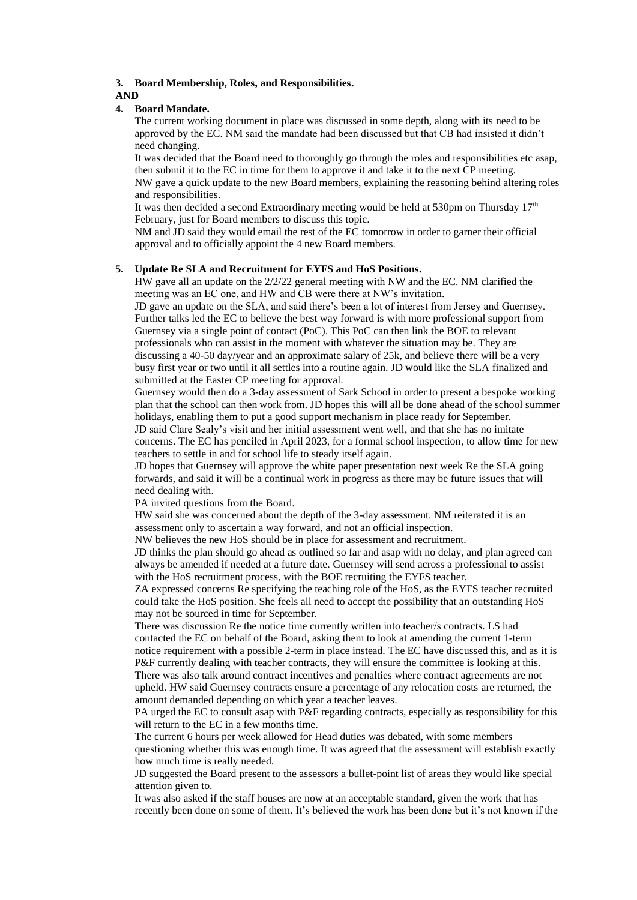#### **3. Board Membership, Roles, and Responsibilities.**

#### **AND**

#### **4. Board Mandate.**

The current working document in place was discussed in some depth, along with its need to be approved by the EC. NM said the mandate had been discussed but that CB had insisted it didn't need changing.

It was decided that the Board need to thoroughly go through the roles and responsibilities etc asap, then submit it to the EC in time for them to approve it and take it to the next CP meeting. NW gave a quick update to the new Board members, explaining the reasoning behind altering roles and responsibilities.

It was then decided a second Extraordinary meeting would be held at 530pm on Thursday  $17<sup>th</sup>$ February, just for Board members to discuss this topic.

NM and JD said they would email the rest of the EC tomorrow in order to garner their official approval and to officially appoint the 4 new Board members.

#### **5. Update Re SLA and Recruitment for EYFS and HoS Positions.**

HW gave all an update on the 2/2/22 general meeting with NW and the EC. NM clarified the meeting was an EC one, and HW and CB were there at NW's invitation.

JD gave an update on the SLA, and said there's been a lot of interest from Jersey and Guernsey. Further talks led the EC to believe the best way forward is with more professional support from Guernsey via a single point of contact (PoC). This PoC can then link the BOE to relevant professionals who can assist in the moment with whatever the situation may be. They are discussing a 40-50 day/year and an approximate salary of 25k, and believe there will be a very busy first year or two until it all settles into a routine again. JD would like the SLA finalized and submitted at the Easter CP meeting for approval.

Guernsey would then do a 3-day assessment of Sark School in order to present a bespoke working plan that the school can then work from. JD hopes this will all be done ahead of the school summer holidays, enabling them to put a good support mechanism in place ready for September.

JD said Clare Sealy's visit and her initial assessment went well, and that she has no imitate concerns. The EC has penciled in April 2023, for a formal school inspection, to allow time for new teachers to settle in and for school life to steady itself again.

JD hopes that Guernsey will approve the white paper presentation next week Re the SLA going forwards, and said it will be a continual work in progress as there may be future issues that will need dealing with.

PA invited questions from the Board.

HW said she was concerned about the depth of the 3-day assessment. NM reiterated it is an assessment only to ascertain a way forward, and not an official inspection.

NW believes the new HoS should be in place for assessment and recruitment.

JD thinks the plan should go ahead as outlined so far and asap with no delay, and plan agreed can always be amended if needed at a future date. Guernsey will send across a professional to assist with the HoS recruitment process, with the BOE recruiting the EYFS teacher.

ZA expressed concerns Re specifying the teaching role of the HoS, as the EYFS teacher recruited could take the HoS position. She feels all need to accept the possibility that an outstanding HoS may not be sourced in time for September.

There was discussion Re the notice time currently written into teacher/s contracts. LS had contacted the EC on behalf of the Board, asking them to look at amending the current 1-term notice requirement with a possible 2-term in place instead. The EC have discussed this, and as it is P&F currently dealing with teacher contracts, they will ensure the committee is looking at this.

There was also talk around contract incentives and penalties where contract agreements are not upheld. HW said Guernsey contracts ensure a percentage of any relocation costs are returned, the amount demanded depending on which year a teacher leaves.

PA urged the EC to consult asap with P&F regarding contracts, especially as responsibility for this will return to the EC in a few months time.

The current 6 hours per week allowed for Head duties was debated, with some members questioning whether this was enough time. It was agreed that the assessment will establish exactly how much time is really needed.

JD suggested the Board present to the assessors a bullet-point list of areas they would like special attention given to.

It was also asked if the staff houses are now at an acceptable standard, given the work that has recently been done on some of them. It's believed the work has been done but it's not known if the